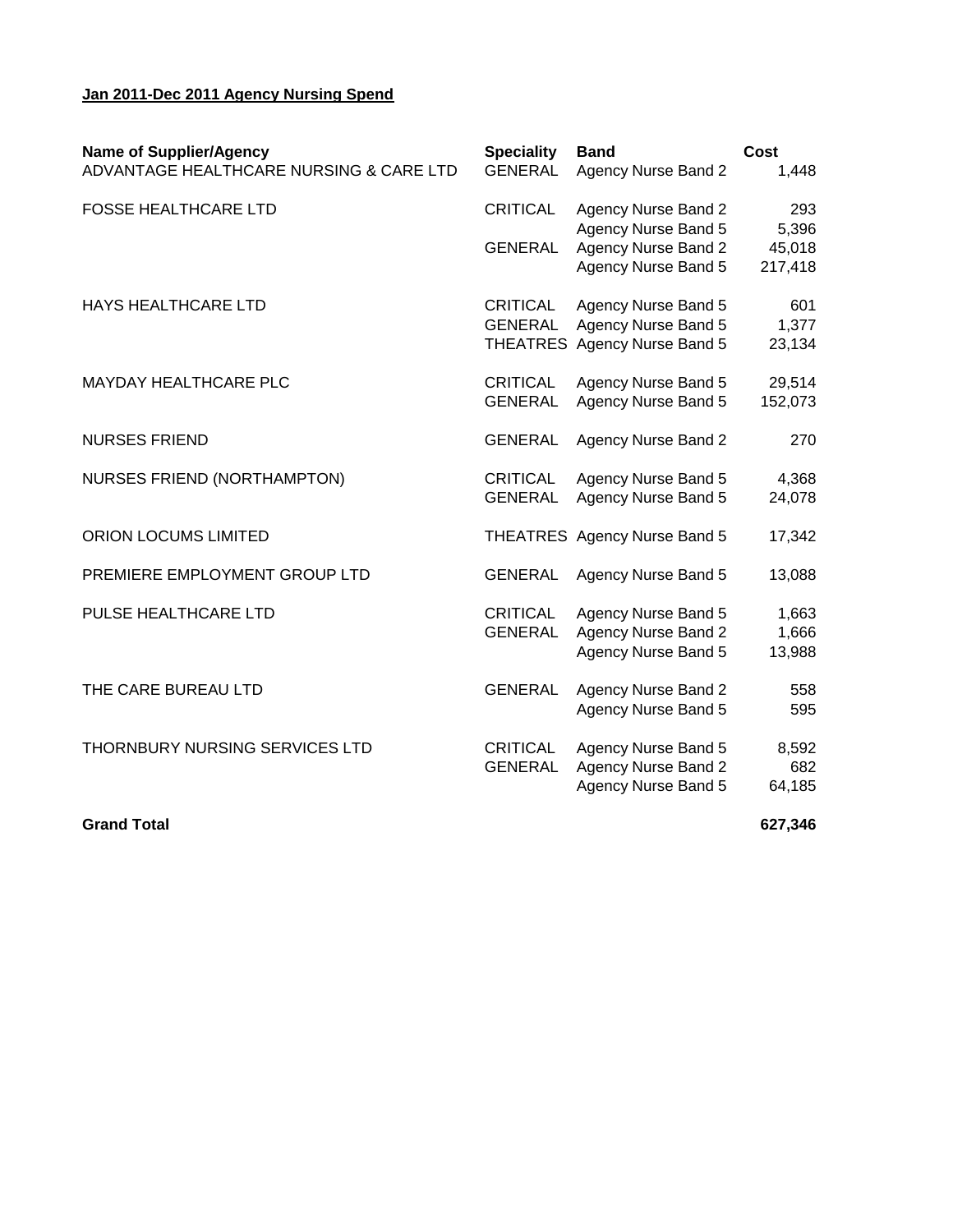## **Jan 2011-Dec 2011 Agency Nursing Spend**

| <b>Name of Supplier/Agency</b><br>ADVANTAGE HEALTHCARE NURSING & CARE LTD | <b>Speciality</b><br><b>GENERAL</b> | <b>Band</b><br><b>Agency Nurse Band 2</b>         | Cost<br>1,448   |
|---------------------------------------------------------------------------|-------------------------------------|---------------------------------------------------|-----------------|
| <b>FOSSE HEALTHCARE LTD</b>                                               | <b>CRITICAL</b>                     | <b>Agency Nurse Band 2</b>                        | 293             |
|                                                                           | <b>GENERAL</b>                      | <b>Agency Nurse Band 5</b><br>Agency Nurse Band 2 | 5,396<br>45,018 |
|                                                                           |                                     | Agency Nurse Band 5                               | 217,418         |
| <b>HAYS HEALTHCARE LTD</b>                                                | <b>CRITICAL</b><br><b>GENERAL</b>   | Agency Nurse Band 5<br>Agency Nurse Band 5        | 601<br>1,377    |
|                                                                           |                                     | THEATRES Agency Nurse Band 5                      | 23,134          |
| <b>MAYDAY HEALTHCARE PLC</b>                                              | <b>CRITICAL</b>                     | Agency Nurse Band 5                               | 29,514          |
|                                                                           | <b>GENERAL</b>                      | <b>Agency Nurse Band 5</b>                        | 152,073         |
| <b>NURSES FRIEND</b>                                                      | <b>GENERAL</b>                      | <b>Agency Nurse Band 2</b>                        | 270             |
| NURSES FRIEND (NORTHAMPTON)                                               | <b>CRITICAL</b>                     | Agency Nurse Band 5                               | 4,368           |
|                                                                           | <b>GENERAL</b>                      | Agency Nurse Band 5                               | 24,078          |
| ORION LOCUMS LIMITED                                                      |                                     | THEATRES Agency Nurse Band 5                      | 17,342          |
| PREMIERE EMPLOYMENT GROUP LTD                                             | <b>GENERAL</b>                      | Agency Nurse Band 5                               | 13,088          |
| PULSE HEALTHCARE LTD                                                      | <b>CRITICAL</b>                     | Agency Nurse Band 5                               | 1,663           |
|                                                                           | <b>GENERAL</b>                      | <b>Agency Nurse Band 2</b><br>Agency Nurse Band 5 | 1,666<br>13,988 |
| THE CARE BUREAU LTD                                                       | <b>GENERAL</b>                      | <b>Agency Nurse Band 2</b>                        | 558             |
|                                                                           |                                     | <b>Agency Nurse Band 5</b>                        | 595             |
| THORNBURY NURSING SERVICES LTD                                            | <b>CRITICAL</b>                     | Agency Nurse Band 5                               | 8,592           |
|                                                                           | <b>GENERAL</b>                      | <b>Agency Nurse Band 2</b><br>Agency Nurse Band 5 | 682<br>64,185   |
|                                                                           |                                     |                                                   |                 |

**Grand Total 627,346**